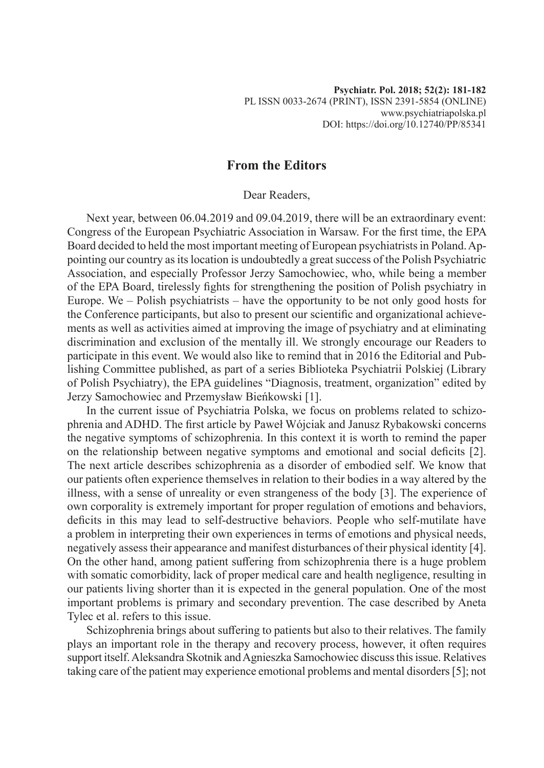## **From the Editors**

## Dear Readers,

Next year, between 06.04.2019 and 09.04.2019, there will be an extraordinary event: Congress of the European Psychiatric Association in Warsaw. For the first time, the EPA Board decided to held the most important meeting of European psychiatrists in Poland. Appointing our country as its location is undoubtedly a great success of the Polish Psychiatric Association, and especially Professor Jerzy Samochowiec, who, while being a member of the EPA Board, tirelessly fights for strengthening the position of Polish psychiatry in Europe. We – Polish psychiatrists – have the opportunity to be not only good hosts for the Conference participants, but also to present our scientific and organizational achievements as well as activities aimed at improving the image of psychiatry and at eliminating discrimination and exclusion of the mentally ill. We strongly encourage our Readers to participate in this event. We would also like to remind that in 2016 the Editorial and Publishing Committee published, as part of a series Biblioteka Psychiatrii Polskiej (Library of Polish Psychiatry), the EPA guidelines "Diagnosis, treatment, organization" edited by Jerzy Samochowiec and Przemysław Bieńkowski [1].

In the current issue of Psychiatria Polska, we focus on problems related to schizophrenia and ADHD. The first article by Paweł Wójciak and Janusz Rybakowski concerns the negative symptoms of schizophrenia. In this context it is worth to remind the paper on the relationship between negative symptoms and emotional and social deficits [2]. The next article describes schizophrenia as a disorder of embodied self. We know that our patients often experience themselves in relation to their bodies in a way altered by the illness, with a sense of unreality or even strangeness of the body [3]. The experience of own corporality is extremely important for proper regulation of emotions and behaviors, deficits in this may lead to self-destructive behaviors. People who self-mutilate have a problem in interpreting their own experiences in terms of emotions and physical needs, negatively assess their appearance and manifest disturbances of their physical identity [4]. On the other hand, among patient suffering from schizophrenia there is a huge problem with somatic comorbidity, lack of proper medical care and health negligence, resulting in our patients living shorter than it is expected in the general population. One of the most important problems is primary and secondary prevention. The case described by Aneta Tylec et al. refers to this issue.

Schizophrenia brings about suffering to patients but also to their relatives. The family plays an important role in the therapy and recovery process, however, it often requires support itself. Aleksandra Skotnik and Agnieszka Samochowiec discuss this issue. Relatives taking care of the patient may experience emotional problems and mental disorders [5]; not